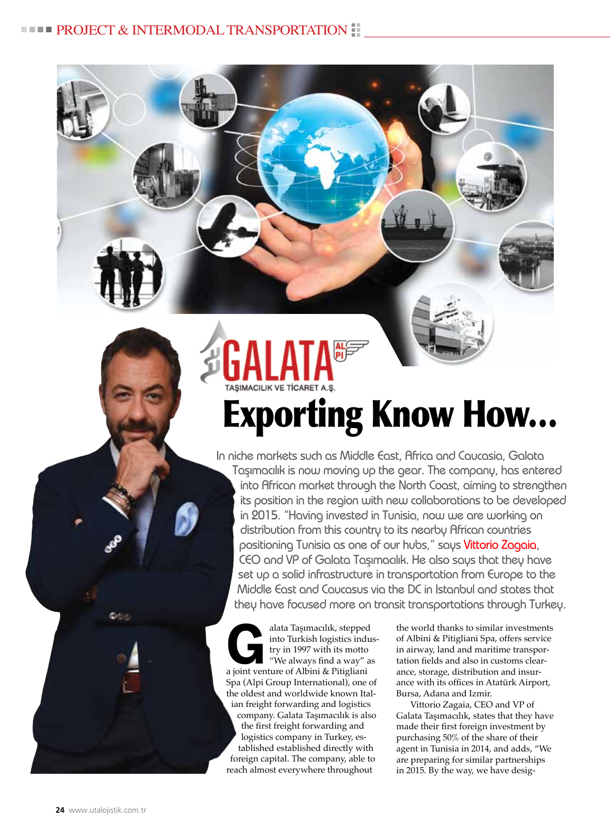Exporting Know How…

In niche markets such as Middle East, Africa and Caucasia, Galata Taşımacılık is now moving up the gear. The company, has entered into African market through the North Coast, aiming to strengthen its position in the region with new collaborations to be developed in 2015. "Having invested in Tunisia, now we are working on distribution from this country to its nearby African countries positioning Tunisia as one of our hubs," says Vittorio Zagaia, CEO and VP of Galata Taşımacılık. He also says that they have set up a solid infrastructure in transportation from Europe to the Middle East and Caucasus via the DC in Istanbul and states that they have focused more on transit transportations through Turkey.

alata Taşımacılık, stepped<br>
into Turkish logistics indu<br>
try in 1997 with its motto<br>
"We always find a way" as<br>
a joint venture of Albini & Pitioliani into Turkish logistics industry in 1997 with its motto "We always find a way" as a joint venture of Albini & Pitigliani Spa (Alpi Group International), one of the oldest and worldwide known Italian freight forwarding and logistics company. Galata Taşımacılık is also the first freight forwarding and logistics company in Turkey, established established directly with foreign capital. The company, able to reach almost everywhere throughout

the world thanks to similar investments of Albini & Pitigliani Spa, offers service in airway, land and maritime transportation fields and also in customs clearance, storage, distribution and insurance with its offices in Atatürk Airport, Bursa, Adana and Izmir.

Vittorio Zagaia, CEO and VP of Galata Taşımacılık, states that they have made their first foreign investment by purchasing 50% of the share of their agent in Tunisia in 2014, and adds, "We are preparing for similar partnerships in 2015. By the way, we have desig